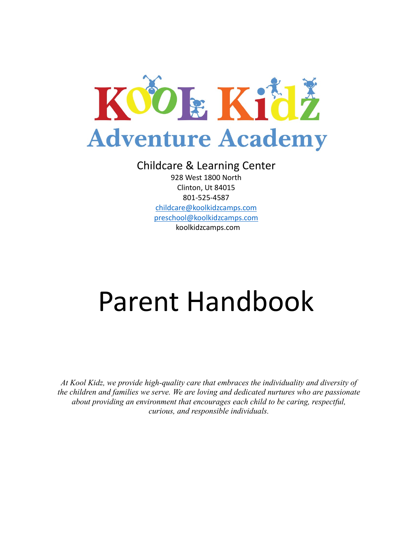

# Childcare & Learning Center

928 West 1800 North Clinton, Ut 84015 801-525-4587 [childcare@koolkidzcamps.com](mailto:childcare@koolkidzcamps.com) [preschool@koolkidzcamps.com](mailto:preschool@koolkidzcamps.com) koolkidzcamps.com

# Parent Handbook

*At Kool Kidz, we provide high-quality care that embraces the individuality and diversity of the children and families we serve. We are loving and dedicated nurtures who are passionate about providing an environment that encourages each child to be caring, respectful, curious, and responsible individuals.*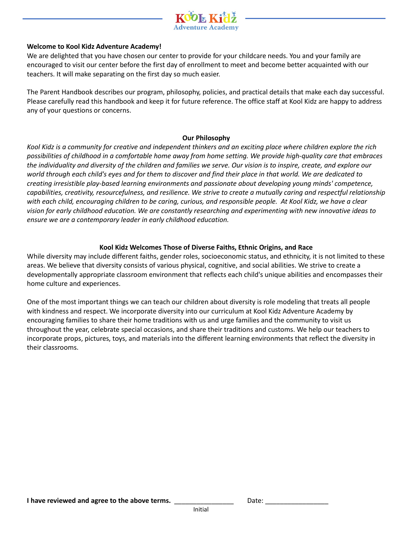

#### **Welcome to Kool Kidz Adventure Academy!**

We are delighted that you have chosen our center to provide for your childcare needs. You and your family are encouraged to visit our center before the first day of enrollment to meet and become better acquainted with our teachers. It will make separating on the first day so much easier.

The Parent Handbook describes our program, philosophy, policies, and practical details that make each day successful. Please carefully read this handbook and keep it for future reference. The office staff at Kool Kidz are happy to address any of your questions or concerns.

#### **Our Philosophy**

*Kool Kidz is a community for creative and independent thinkers and an exciting place where children explore the rich possibilities of childhood in a comfortable home away from home setting. We provide high-quality care that embraces the individuality and diversity of the children and families we serve. Our vision is to inspire, create, and explore our world through each child's eyes and for them to discover and find their place in that world. We are dedicated to creating irresistible play-based learning environments and passionate about developing young minds' competence, capabilities, creativity, resourcefulness, and resilience. We strive to create a mutually caring and respectful relationship with each child, encouraging children to be caring, curious, and responsible people. At Kool Kidz, we have a clear vision for early childhood education. We are constantly researching and experimenting with new innovative ideas to ensure we are a contemporary leader in early childhood education.*

#### **Kool Kidz Welcomes Those of Diverse Faiths, Ethnic Origins, and Race**

While diversity may include different faiths, gender roles, socioeconomic status, and ethnicity, it is not limited to these areas. We believe that diversity consists of various physical, cognitive, and social abilities. We strive to create a developmentally appropriate classroom environment that reflects each child's unique abilities and encompasses their home culture and experiences.

One of the most important things we can teach our children about diversity is role modeling that treats all people with kindness and respect. We incorporate diversity into our curriculum at Kool Kidz Adventure Academy by encouraging families to share their home traditions with us and urge families and the community to visit us throughout the year, celebrate special occasions, and share their traditions and customs. We help our teachers to incorporate props, pictures, toys, and materials into the different learning environments that reflect the diversity in their classrooms.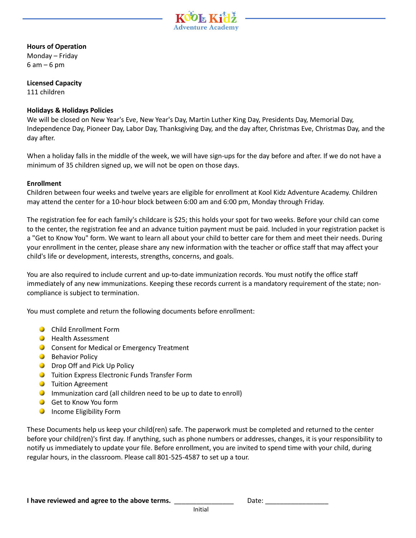

#### **Hours of Operation**

Monday – Friday 6 am – 6 pm

**Licensed Capacity** 111 children

#### **Holidays & Holidays Policies**

We will be closed on New Year's Eve, New Year's Day, Martin Luther King Day, Presidents Day, Memorial Day, Independence Day, Pioneer Day, Labor Day, Thanksgiving Day, and the day after, Christmas Eve, Christmas Day, and the day after.

When a holiday falls in the middle of the week, we will have sign-ups for the day before and after. If we do not have a minimum of 35 children signed up, we will not be open on those days.

#### **Enrollment**

Children between four weeks and twelve years are eligible for enrollment at Kool Kidz Adventure Academy. Children may attend the center for a 10-hour block between 6:00 am and 6:00 pm, Monday through Friday.

The registration fee for each family's childcare is \$25; this holds your spot for two weeks. Before your child can come to the center, the registration fee and an advance tuition payment must be paid. Included in your registration packet is a "Get to Know You" form. We want to learn all about your child to better care for them and meet their needs. During your enrollment in the center, please share any new information with the teacher or office staff that may affect your child's life or development, interests, strengths, concerns, and goals.

You are also required to include current and up-to-date immunization records. You must notify the office staff immediately of any new immunizations. Keeping these records current is a mandatory requirement of the state; noncompliance is subject to termination.

You must complete and return the following documents before enrollment:

- **Child Enrollment Form**
- **Health Assessment**
- **C** Consent for Medical or Emergency Treatment
- **Behavior Policy**
- **Drop Off and Pick Up Policy**
- **O** Tuition Express Electronic Funds Transfer Form
- **O** Tuition Agreement
- **O** Immunization card (all children need to be up to date to enroll)
- Get to Know You form
- **O** Income Eligibility Form

These Documents help us keep your child(ren) safe. The paperwork must be completed and returned to the center before your child(ren)'s first day. If anything, such as phone numbers or addresses, changes, it is your responsibility to notify us immediately to update your file. Before enrollment, you are invited to spend time with your child, during regular hours, in the classroom. Please call 801-525-4587 to set up a tour.

**I have reviewed and agree to the above terms.** \_\_\_\_\_\_\_\_\_\_\_\_\_\_\_\_\_\_\_\_\_\_\_Date: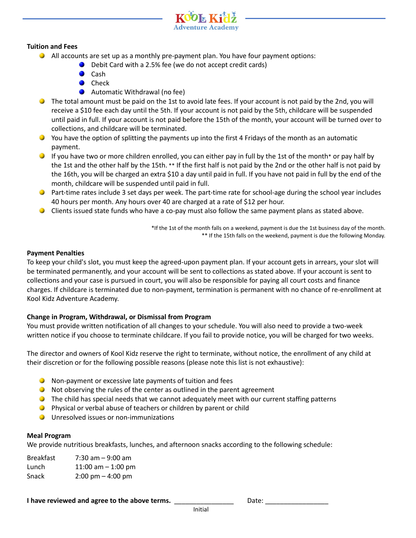

#### **Tuition and Fees**

- All accounts are set up as a monthly pre-payment plan. You have four payment options:
	- **O** Debit Card with a 2.5% fee (we do not accept credit cards)
	- Cash
	- $\bullet$ Check
	- **C** Automatic Withdrawal (no fee)
- **The total amount must be paid on the 1st to avoid late fees. If your account is not paid by the 2nd, you will** receive a \$10 fee each day until the 5th. If your account is not paid by the 5th, childcare will be suspended until paid in full. If your account is not paid before the 15th of the month, your account will be turned over to collections, and childcare will be terminated.
- You have the option of splitting the payments up into the first 4 Fridays of the month as an automatic payment.
- If you have two or more children enrolled, you can either pay in full by the 1st of the month\* or pay half by the 1st and the other half by the 15th. \*\* If the first half is not paid by the 2nd or the other half is not paid by the 16th, you will be charged an extra \$10 a day until paid in full. If you have not paid in full by the end of the month, childcare will be suspended until paid in full.
- Part-time rates include 3 set days per week. The part-time rate for school-age during the school year includes 40 hours per month. Any hours over 40 are charged at a rate of \$12 per hour.
- Clients issued state funds who have a co-pay must also follow the same payment plans as stated above.

\*If the 1st of the month falls on a weekend, payment is due the 1st business day of the month. \*\* If the 15th falls on the weekend, payment is due the following Monday.

#### **Payment Penalties**

To keep your child's slot, you must keep the agreed-upon payment plan. If your account gets in arrears, your slot will be terminated permanently, and your account will be sent to collections as stated above. If your account is sent to collections and your case is pursued in court, you will also be responsible for paying all court costs and finance charges. If childcare is terminated due to non-payment, termination is permanent with no chance of re-enrollment at Kool Kidz Adventure Academy.

### **Change in Program, Withdrawal, or Dismissal from Program**

You must provide written notification of all changes to your schedule. You will also need to provide a two-week written notice if you choose to terminate childcare. If you fail to provide notice, you will be charged for two weeks.

The director and owners of Kool Kidz reserve the right to terminate, without notice, the enrollment of any child at their discretion or for the following possible reasons (please note this list is not exhaustive):

- Non-payment or excessive late payments of tuition and fees
- Not observing the rules of the center as outlined in the parent agreement
- **O** The child has special needs that we cannot adequately meet with our current staffing patterns
- **Physical or verbal abuse of teachers or children by parent or child**
- **O** Unresolved issues or non-immunizations

#### **Meal Program**

We provide nutritious breakfasts, lunches, and afternoon snacks according to the following schedule:

Breakfast 7:30 am – 9:00 am Lunch 11:00 am – 1:00 pm Snack 2:00 pm – 4:00 pm

#### **I have reviewed and agree to the above terms.** \_\_\_\_\_\_\_\_\_\_\_\_\_\_\_\_\_\_\_\_\_\_\_\_\_Date: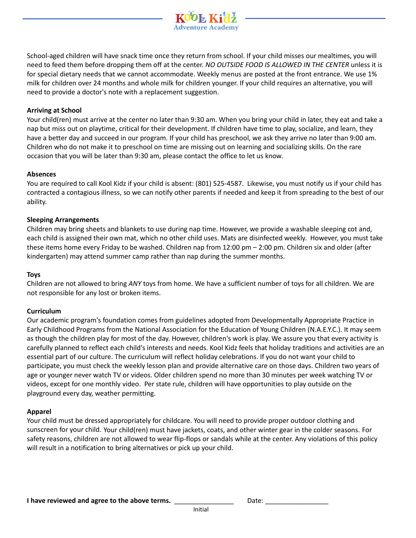

#### **Arriving at School**

Your child(ren) must arrive at the center no later than 9:30 am. When you bring your child in later, they eat and take a nap but miss out on playtime, critical for their development. If children have time to play, socialize, and learn, they have a better day and succeed in our program. If your child has preschool, we ask they arrive no later than 9:00 am. Children who do not make it to preschool on time are missing out on learning and socializing skills. On the rare occasion that you will be later than 9:30 am, please contact the office to let us know.

#### **Absences**

You are required to call Kool Kidz if your child is absent: (801) 525-4587. Likewise, you must notify us if your child has contracted a contagious illness, so we can notify other parents if needed and keep it from spreading to the best of our ability.

#### **Sleeping Arrangements**

Children may bring sheets and blankets to use during nap time. However, we provide a washable sleeping cot and, each child is assigned their own mat, which no other child uses. Mats are disinfected weekly. However, you must take these items home every Friday to be washed. Children nap from 12:00 pm – 2:00 pm. Children six and older (after kindergarten) may attend summer camp rather than nap during the summer months.

#### **Toys**

Children are not allowed to bring *ANY* toys from home. We have a sufficient number of toys for all children. We are not responsible for any lost or broken items.

#### **Curriculum**

Our academic program's foundation comes from guidelines adopted from Developmentally Appropriate Practice in Early Childhood Programs from the National Association for the Education of Young Children (N.A.E.Y.C.). It may seem as though the children play for most of the day. However, children's work is play. We assure you that every activity is carefully planned to reflect each child's interests and needs. Kool Kidz feels that holiday traditions and activities are an essential part of our culture. The curriculum will reflect holiday celebrations. If you do not want your child to participate, you must check the weekly lesson plan and provide alternative care on those days. Children two years of age or younger never watch TV or videos. Older children spend no more than 30 minutes per week watching TV or videos, except for one monthly video. Per state rule, children will have opportunities to play outside on the playground every day, weather permitting.

#### **Apparel**

Your child must be dressed appropriately for childcare. You will need to provide proper outdoor clothing and sunscreen for your child. Your child(ren) must have jackets, coats, and other winter gear in the colder seasons. For safety reasons, children are not allowed to wear flip-flops or sandals while at the center. Any violations of this policy will result in a notification to bring alternatives or pick up your child.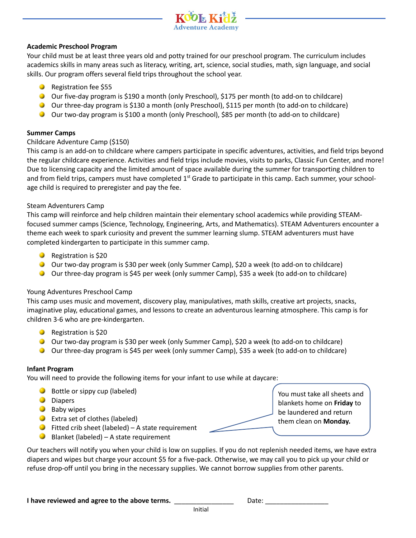

#### **Academic Preschool Program**

Your child must be at least three years old and potty trained for our preschool program. The curriculum includes academics skills in many areas such as literacy, writing, art, science, social studies, math, sign language, and social skills. Our program offers several field trips throughout the school year.

- **B** Registration fee \$55
- O Our five-day program is \$190 a month (only Preschool), \$175 per month (to add-on to childcare)
- Our three-day program is \$130 a month (only Preschool), \$115 per month (to add-on to childcare)
- Our two-day program is \$100 a month (only Preschool), \$85 per month (to add-on to childcare)

#### **Summer Camps**

#### Childcare Adventure Camp (\$150)

This camp is an add-on to childcare where campers participate in specific adventures, activities, and field trips beyond the regular childcare experience. Activities and field trips include movies, visits to parks, Classic Fun Center, and more! Due to licensing capacity and the limited amount of space available during the summer for transporting children to and from field trips, campers must have completed  $1<sup>st</sup>$  Grade to participate in this camp. Each summer, your schoolage child is required to preregister and pay the fee.

#### Steam Adventurers Camp

This camp will reinforce and help children maintain their elementary school academics while providing STEAMfocused summer camps (Science, Technology, Engineering, Arts, and Mathematics). STEAM Adventurers encounter a theme each week to spark curiosity and prevent the summer learning slump. STEAM adventurers must have completed kindergarten to participate in this summer camp.

- **Registration is \$20**
- Our two-day program is \$30 per week (only Summer Camp), \$20 a week (to add-on to childcare)
- Our three-day program is \$45 per week (only summer Camp), \$35 a week (to add-on to childcare)

#### Young Adventures Preschool Camp

This camp uses music and movement, discovery play, manipulatives, math skills, creative art projects, snacks, imaginative play, educational games, and lessons to create an adventurous learning atmosphere. This camp is for children 3-6 who are pre-kindergarten.

- **Registration is \$20**
- O Our two-day program is \$30 per week (only Summer Camp), \$20 a week (to add-on to childcare)
- Our three-day program is \$45 per week (only summer Camp), \$35 a week (to add-on to childcare)

#### **Infant Program**

You will need to provide the following items for your infant to use while at daycare:

- **Bottle or sippy cup (labeled)**
- **O** Diapers
- **Baby wipes**
- **O** Extra set of clothes (labeled)
- $\bullet$  Fitted crib sheet (labeled) A state requirement
- $\bigcirc$  Blanket (labeled) A state requirement

You must take all sheets and blankets home on **Friday** to be laundered and return them clean on **Monday.**

Our teachers will notify you when your child is low on supplies. If you do not replenish needed items, we have extra diapers and wipes but charge your account \$5 for a five-pack. Otherwise, we may call you to pick up your child or refuse drop-off until you bring in the necessary supplies. We cannot borrow supplies from other parents.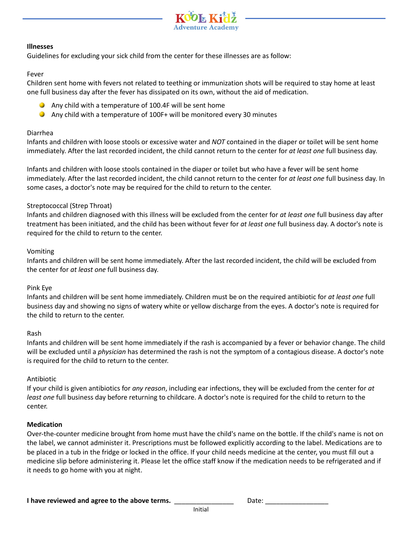

#### **Illnesses**

Guidelines for excluding your sick child from the center for these illnesses are as follow:

#### Fever

Children sent home with fevers not related to teething or immunization shots will be required to stay home at least one full business day after the fever has dissipated on its own, without the aid of medication.

- Any child with a temperature of 100.4F will be sent home
- Any child with a temperature of 100F+ will be monitored every 30 minutes

#### Diarrhea

Infants and children with loose stools or excessive water and *NOT* contained in the diaper or toilet will be sent home immediately. After the last recorded incident, the child cannot return to the center for *at least one* full business day.

Infants and children with loose stools contained in the diaper or toilet but who have a fever will be sent home immediately. After the last recorded incident, the child cannot return to the center for *at least one* full business day. In some cases, a doctor's note may be required for the child to return to the center.

#### Streptococcal (Strep Throat)

Infants and children diagnosed with this illness will be excluded from the center for *at least one* full business day after treatment has been initiated, and the child has been without fever for *at least one* full business day. A doctor's note is required for the child to return to the center.

#### Vomiting

Infants and children will be sent home immediately. After the last recorded incident, the child will be excluded from the center for *at least one* full business day.

#### Pink Eye

Infants and children will be sent home immediately. Children must be on the required antibiotic for *at least one* full business day and showing no signs of watery white or yellow discharge from the eyes. A doctor's note is required for the child to return to the center.

#### Rash

Infants and children will be sent home immediately if the rash is accompanied by a fever or behavior change. The child will be excluded until a *physician* has determined the rash is not the symptom of a contagious disease. A doctor's note is required for the child to return to the center.

#### Antibiotic

If your child is given antibiotics for *any reason*, including ear infections, they will be excluded from the center for *at least one* full business day before returning to childcare. A doctor's note is required for the child to return to the center.

#### **Medication**

Over-the-counter medicine brought from home must have the child's name on the bottle. If the child's name is not on the label, we cannot administer it. Prescriptions must be followed explicitly according to the label. Medications are to be placed in a tub in the fridge or locked in the office. If your child needs medicine at the center, you must fill out a medicine slip before administering it. Please let the office staff know if the medication needs to be refrigerated and if it needs to go home with you at night.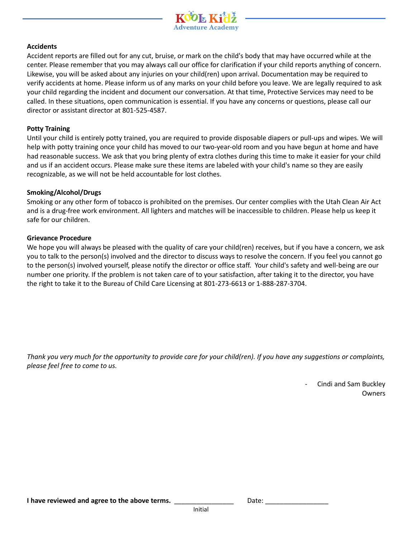

#### **Accidents**

Accident reports are filled out for any cut, bruise, or mark on the child's body that may have occurred while at the center. Please remember that you may always call our office for clarification if your child reports anything of concern. Likewise, you will be asked about any injuries on your child(ren) upon arrival. Documentation may be required to verify accidents at home. Please inform us of any marks on your child before you leave. We are legally required to ask your child regarding the incident and document our conversation. At that time, Protective Services may need to be called. In these situations, open communication is essential. If you have any concerns or questions, please call our director or assistant director at 801-525-4587.

#### **Potty Training**

Until your child is entirely potty trained, you are required to provide disposable diapers or pull-ups and wipes. We will help with potty training once your child has moved to our two-year-old room and you have begun at home and have had reasonable success. We ask that you bring plenty of extra clothes during this time to make it easier for your child and us if an accident occurs. Please make sure these items are labeled with your child's name so they are easily recognizable, as we will not be held accountable for lost clothes.

#### **Smoking/Alcohol/Drugs**

Smoking or any other form of tobacco is prohibited on the premises. Our center complies with the Utah Clean Air Act and is a drug-free work environment. All lighters and matches will be inaccessible to children. Please help us keep it safe for our children.

#### **Grievance Procedure**

We hope you will always be pleased with the quality of care your child(ren) receives, but if you have a concern, we ask you to talk to the person(s) involved and the director to discuss ways to resolve the concern. If you feel you cannot go to the person(s) involved yourself, please notify the director or office staff. Your child's safety and well-being are our number one priority. If the problem is not taken care of to your satisfaction, after taking it to the director, you have the right to take it to the Bureau of Child Care Licensing at 801-273-6613 or 1-888-287-3704.

*Thank you very much for the opportunity to provide care for your child(ren). If you have any suggestions or complaints, please feel free to come to us.*

> - Cindi and Sam Buckley Owners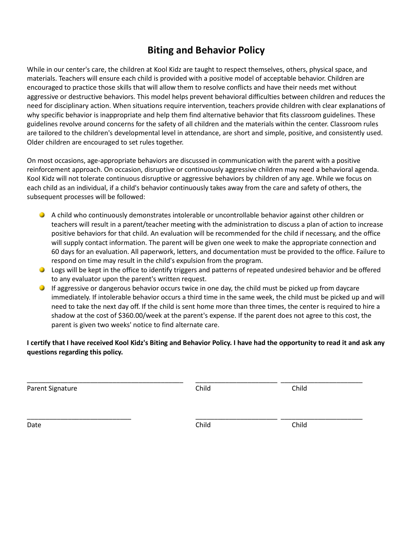# **Biting and Behavior Policy**

While in our center's care, the children at Kool Kidz are taught to respect themselves, others, physical space, and materials. Teachers will ensure each child is provided with a positive model of acceptable behavior. Children are encouraged to practice those skills that will allow them to resolve conflicts and have their needs met without aggressive or destructive behaviors. This model helps prevent behavioral difficulties between children and reduces the need for disciplinary action. When situations require intervention, teachers provide children with clear explanations of why specific behavior is inappropriate and help them find alternative behavior that fits classroom guidelines. These guidelines revolve around concerns for the safety of all children and the materials within the center. Classroom rules are tailored to the children's developmental level in attendance, are short and simple, positive, and consistently used. Older children are encouraged to set rules together.

On most occasions, age-appropriate behaviors are discussed in communication with the parent with a positive reinforcement approach. On occasion, disruptive or continuously aggressive children may need a behavioral agenda. Kool Kidz will not tolerate continuous disruptive or aggressive behaviors by children of any age. While we focus on each child as an individual, if a child's behavior continuously takes away from the care and safety of others, the subsequent processes will be followed:

- A child who continuously demonstrates intolerable or uncontrollable behavior against other children or teachers will result in a parent/teacher meeting with the administration to discuss a plan of action to increase positive behaviors for that child. An evaluation will be recommended for the child if necessary, and the office will supply contact information. The parent will be given one week to make the appropriate connection and 60 days for an evaluation. All paperwork, letters, and documentation must be provided to the office. Failure to respond on time may result in the child's expulsion from the program.
- Logs will be kept in the office to identify triggers and patterns of repeated undesired behavior and be offered to any evaluator upon the parent's written request.
- **If aggressive or dangerous behavior occurs twice in one day, the child must be picked up from daycare** immediately. If intolerable behavior occurs a third time in the same week, the child must be picked up and will need to take the next day off. If the child is sent home more than three times, the center is required to hire a shadow at the cost of \$360.00/week at the parent's expense. If the parent does not agree to this cost, the parent is given two weeks' notice to find alternate care.

**I certify that I have received Kool Kidz's Biting and Behavior Policy. I have had the opportunity to read it and ask any questions regarding this policy.**

Parent Signature Child Child Child Child Child Child Child Child Child Child Child Child Child Child Child Child Child Child Child Child Child Child Child Child Child Child Child Child Child Child Child Child Child Child C

\_\_\_\_\_\_\_\_\_\_\_\_\_\_\_\_\_\_\_\_\_\_\_\_\_\_\_\_\_\_\_\_\_\_\_\_\_\_\_\_\_\_ \_\_\_\_\_\_\_\_\_\_\_\_\_\_\_\_\_\_\_\_\_\_ \_\_\_\_\_\_\_\_\_\_\_\_\_\_\_\_\_\_\_\_\_\_

\_\_\_\_\_\_\_\_\_\_\_\_\_\_\_\_\_\_\_\_\_\_\_\_\_\_\_\_ \_\_\_\_\_\_\_\_\_\_\_\_\_\_\_\_\_\_\_\_\_\_ \_\_\_\_\_\_\_\_\_\_\_\_\_\_\_\_\_\_\_\_\_\_ Date **Child** Child Child Child Child Child Child Child